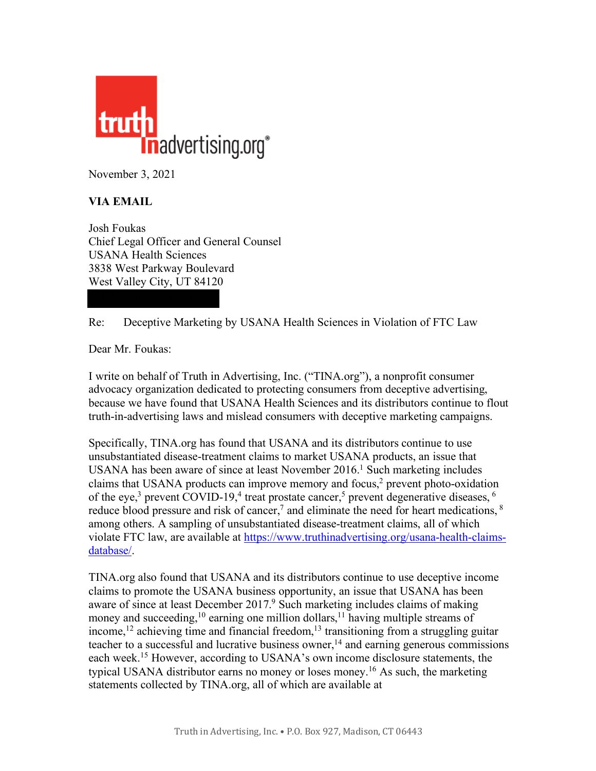

November 3, 2021

## **VIA EMAIL**

Josh Foukas Chief Legal Officer and General Counsel USANA Health Sciences 3838 West Parkway Boulevard West Valley City, UT 84120

Re: Deceptive Marketing by USANA Health Sciences in Violation of FTC Law

Dear Mr. Foukas:

I write on behalf of Truth in Advertising, Inc. ("TINA.org"), a nonprofit consumer advocacy organization dedicated to protecting consumers from deceptive advertising, because we have found that USANA Health Sciences and its distributors continue to flout truth-in-advertising laws and mislead consumers with deceptive marketing campaigns.

Specifically, TINA.org has found that USANA and its distributors continue to use unsubstantiated disease-treatment claims to market USANA products, an issue that USANA has been aware of since at least November 2016.<sup>1</sup> Such marketing includes claims that USANA products can improve memory and focus,<sup>2</sup> prevent photo-oxidation of the eye,<sup>3</sup> prevent COVID-19,<sup>4</sup> treat prostate cancer,<sup>5</sup> prevent degenerative diseases,  $\frac{6}{3}$ reduce blood pressure and risk of cancer,<sup>7</sup> and eliminate the need for heart medications, <sup>8</sup> among others. A sampling of unsubstantiated disease-treatment claims, all of which violate FTC law, are available at [https://www.truthinadvertising.org/usana-health-claims](https://www.truthinadvertising.org/usana-health-claims-database/)[database/.](https://www.truthinadvertising.org/usana-health-claims-database/) 

TINA.org also found that USANA and its distributors continue to use deceptive income claims to promote the USANA business opportunity, an issue that USANA has been aware of since at least December 2017.<sup>9</sup> Such marketing includes claims of making money and succeeding,<sup>10</sup> earning one million dollars,<sup>11</sup> having multiple streams of income,<sup>12</sup> achieving time and financial freedom,<sup>13</sup> transitioning from a struggling guitar teacher to a successful and lucrative business owner, <sup>14</sup> and earning generous commissions each week.15 However, according to USANA's own income disclosure statements, the typical USANA distributor earns no money or loses money.16 As such, the marketing statements collected by TINA.org, all of which are available at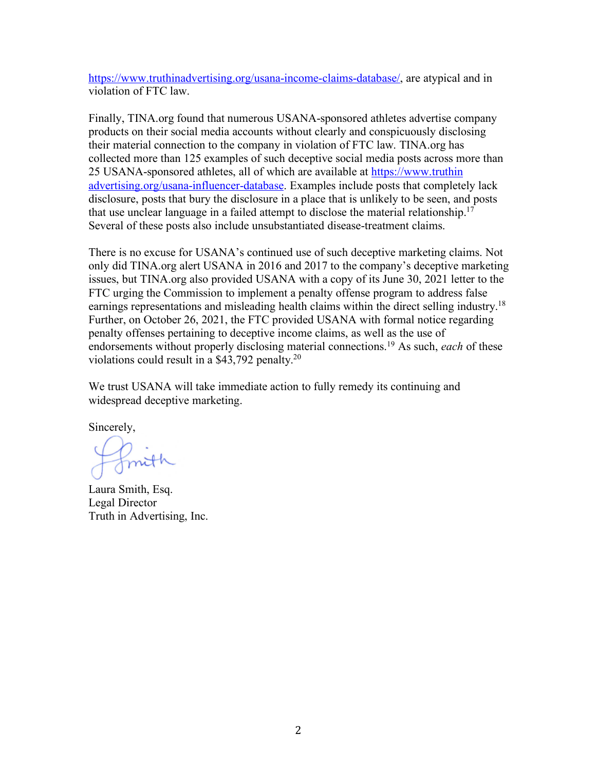[https://www.truthinadvertising.org/usana-income-claims-database/,](https://www.truthinadvertising.org/usana-income-claims-database/) are atypical and in violation of FTC law.

Finally, TINA.org found that numerous USANA-sponsored athletes advertise company products on their social media accounts without clearly and conspicuously disclosing their material connection to the company in violation of FTC law. TINA.org has collected more than 125 examples of such deceptive social media posts across more than 25 USANA-sponsored athletes, all of which are available at [https://www.truthin](https://www.truthinadvertising.org/usana-influencer-database) [advertising.org/usana-influencer-database.](https://www.truthinadvertising.org/usana-influencer-database) Examples include posts that completely lack disclosure, posts that bury the disclosure in a place that is unlikely to be seen, and posts that use unclear language in a failed attempt to disclose the material relationship.17 Several of these posts also include unsubstantiated disease-treatment claims.

There is no excuse for USANA's continued use of such deceptive marketing claims. Not only did TINA.org alert USANA in 2016 and 2017 to the company's deceptive marketing issues, but TINA.org also provided USANA with a copy of its June 30, 2021 letter to the FTC urging the Commission to implement a penalty offense program to address false earnings representations and misleading health claims within the direct selling industry.<sup>18</sup> Further, on October 26, 2021, the FTC provided USANA with formal notice regarding penalty offenses pertaining to deceptive income claims, as well as the use of endorsements without properly disclosing material connections.19 As such, *each* of these violations could result in a \$43,792 penalty.20

We trust USANA will take immediate action to fully remedy its continuing and widespread deceptive marketing.

Sincerely,

Laura Smith, Esq. Legal Director Truth in Advertising, Inc.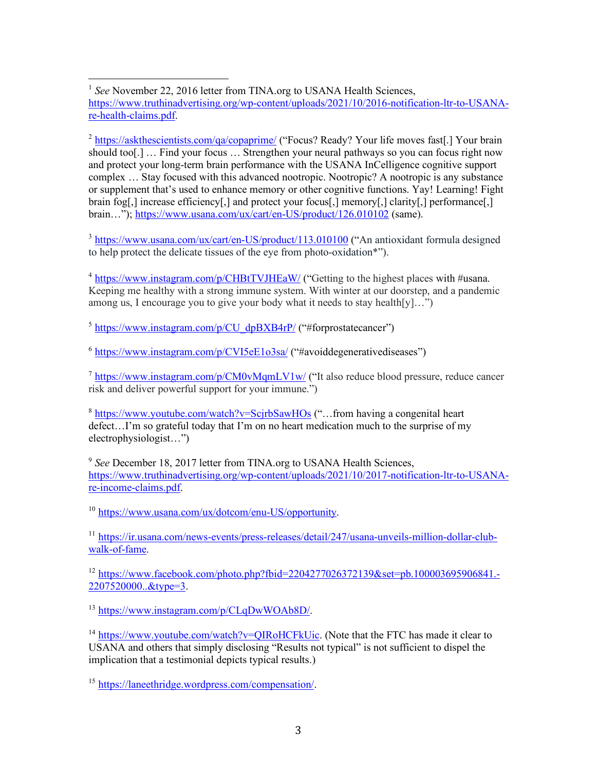<sup>1</sup> See November 22, 2016 letter from TINA.org to USANA Health Sciences, [https://www.truthinadvertising.org/wp-content/uploads/2021/10/2016-notification-ltr-to-USANA](https://www.truthinadvertising.org/wp-content/uploads/2021/10/2016-notification-ltr-to-USANA-re-health-claims.pdf)re-health-claims.pdf. <u>.</u>

<sup>2</sup> <https://askthescientists.com/qa/copaprime/> ("Focus? Ready? Your life moves fast[.] Your brain should too[.] ... Find your focus ... Strengthen your neural pathways so you can focus right now and protect your long-term brain performance with the USANA InCelligence cognitive support complex … Stay focused with this advanced nootropic. Nootropic? A nootropic is any substance or supplement that's used to enhance memory or other cognitive functions. Yay! Learning! Fight brain fog[,] increase efficiency[,] and protect your focus[,] memory[,] clarity[,] performance[,] brain…")[; https://www.usana.com/ux/cart/en-US/product/126.010102](https://www.usana.com/ux/cart/en-US/product/126.010102) (same).

<sup>3</sup> <https://www.usana.com/ux/cart/en-US/product/113.010100> ("An antioxidant formula designed to help protect the delicate tissues of the eye from photo-oxidation\*").

<sup>4</sup> <https://www.instagram.com/p/CHBtTVJHEaW/> ("Getting to the highest places with #usana. Keeping me healthy with a strong immune system. With winter at our doorstep, and a pandemic among us, I encourage you to give your body what it needs to stay health[y]...")

 $5$  [https://www.instagram.com/p/CU\\_dpBXB4rP/](https://www.instagram.com/p/CU_dpBXB4rP/) ("#forprostatecancer")

 $6$  <https://www.instagram.com/p/CVI5eE1o3sa/> ("#avoiddegenerativediseases")

<sup>7</sup> <https://www.instagram.com/p/CM0vMqmLV1w/> ("It also reduce blood pressure, reduce cancer risk and deliver powerful support for your immune.")

<sup>8</sup> <https://www.youtube.com/watch?v=ScjrbSawHOs> ("…from having a congenital heart defect…I'm so grateful today that I'm on no heart medication much to the surprise of my electrophysiologist…")

<sup>9</sup> *See* December 18, 2017 letter from TINA.org to USANA Health Sciences, [https://www.truthinadvertising.org/wp-content/uploads/2021/10/2017-notification-ltr-to-USANA](https://www.truthinadvertising.org/wp-content/uploads/2021/10/2017-notification-ltr-to-USANA-re-income-claims.pdf)re-income-claims.pdf.

<sup>10</sup> [https://www.usana.com/ux/dotcom/enu-US/opportunity.](https://www.usana.com/ux/dotcom/enu-US/opportunity) 

<sup>11</sup> [https://ir.usana.com/news-events/press-releases/detail/247/usana-unveils-million-dollar-club](https://ir.usana.com/news-events/press-releases/detail/247/usana-unveils-million-dollar-club-walk-of-fame)walk-of-fame.

<sup>12</sup> [https://www.facebook.com/photo.php?fbid=2204277026372139&set=pb.100003695906841.-](https://www.facebook.com/photo.php?fbid=2204277026372139&set=pb.100003695906841.-2207520000..&type=3) 2207520000..&type=3.

<sup>13</sup> [https://www.instagram.com/p/CLqDwWOAb8D/.](https://www.instagram.com/p/CLqDwWOAb8D/)

<sup>14</sup> [https://www.youtube.com/watch?v=QIRoHCFkUic.](https://www.youtube.com/watch?v=QIRoHCFkUic) (Note that the FTC has made it clear to USANA and others that simply disclosing "Results not typical" is not sufficient to dispel the implication that a testimonial depicts typical results.)

<sup>15</sup> [https://laneethridge.wordpress.com/compensation/.](https://laneethridge.wordpress.com/compensation/)